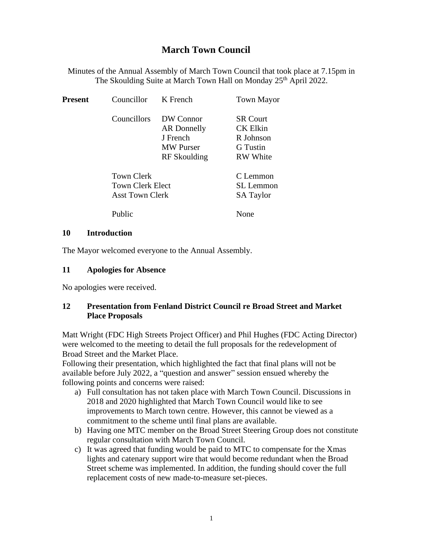# **March Town Council**

Minutes of the Annual Assembly of March Town Council that took place at 7.15pm in The Skoulding Suite at March Town Hall on Monday 25<sup>th</sup> April 2022.

| <b>Present</b> | Councillor                                               | K French                                                                 | <b>Town Mayor</b>                                                              |
|----------------|----------------------------------------------------------|--------------------------------------------------------------------------|--------------------------------------------------------------------------------|
|                | Councillors                                              | DW Connor<br>AR Donnelly<br>J French<br><b>MW</b> Purser<br>RF Skoulding | <b>SR</b> Court<br><b>CK Elkin</b><br>R Johnson<br>G Tustin<br><b>RW</b> White |
|                | Town Clerk<br><b>Town Clerk Elect</b><br>Asst Town Clerk |                                                                          | C Lemmon<br><b>SL</b> Lemmon<br><b>SA Taylor</b>                               |
|                | Public                                                   |                                                                          | None                                                                           |

#### **10 Introduction**

The Mayor welcomed everyone to the Annual Assembly.

#### **11 Apologies for Absence**

No apologies were received.

#### **12 Presentation from Fenland District Council re Broad Street and Market Place Proposals**

Matt Wright (FDC High Streets Project Officer) and Phil Hughes (FDC Acting Director) were welcomed to the meeting to detail the full proposals for the redevelopment of Broad Street and the Market Place.

Following their presentation, which highlighted the fact that final plans will not be available before July 2022, a "question and answer" session ensued whereby the following points and concerns were raised:

- a) Full consultation has not taken place with March Town Council. Discussions in 2018 and 2020 highlighted that March Town Council would like to see improvements to March town centre. However, this cannot be viewed as a commitment to the scheme until final plans are available.
- b) Having one MTC member on the Broad Street Steering Group does not constitute regular consultation with March Town Council.
- c) It was agreed that funding would be paid to MTC to compensate for the Xmas lights and catenary support wire that would become redundant when the Broad Street scheme was implemented. In addition, the funding should cover the full replacement costs of new made-to-measure set-pieces.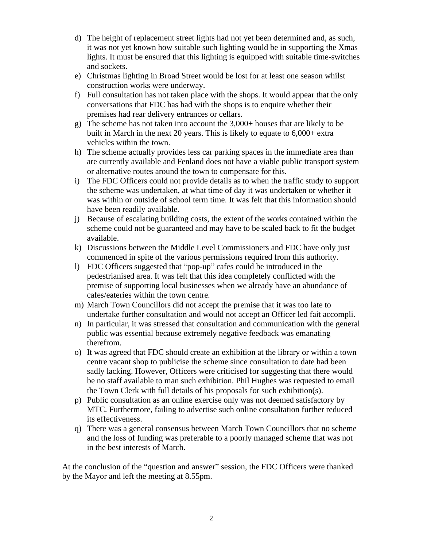- d) The height of replacement street lights had not yet been determined and, as such, it was not yet known how suitable such lighting would be in supporting the Xmas lights. It must be ensured that this lighting is equipped with suitable time-switches and sockets.
- e) Christmas lighting in Broad Street would be lost for at least one season whilst construction works were underway.
- f) Full consultation has not taken place with the shops. It would appear that the only conversations that FDC has had with the shops is to enquire whether their premises had rear delivery entrances or cellars.
- g) The scheme has not taken into account the 3,000+ houses that are likely to be built in March in the next 20 years. This is likely to equate to 6,000+ extra vehicles within the town.
- h) The scheme actually provides less car parking spaces in the immediate area than are currently available and Fenland does not have a viable public transport system or alternative routes around the town to compensate for this.
- i) The FDC Officers could not provide details as to when the traffic study to support the scheme was undertaken, at what time of day it was undertaken or whether it was within or outside of school term time. It was felt that this information should have been readily available.
- j) Because of escalating building costs, the extent of the works contained within the scheme could not be guaranteed and may have to be scaled back to fit the budget available.
- k) Discussions between the Middle Level Commissioners and FDC have only just commenced in spite of the various permissions required from this authority.
- l) FDC Officers suggested that "pop-up" cafes could be introduced in the pedestrianised area. It was felt that this idea completely conflicted with the premise of supporting local businesses when we already have an abundance of cafes/eateries within the town centre.
- m) March Town Councillors did not accept the premise that it was too late to undertake further consultation and would not accept an Officer led fait accompli.
- n) In particular, it was stressed that consultation and communication with the general public was essential because extremely negative feedback was emanating therefrom.
- o) It was agreed that FDC should create an exhibition at the library or within a town centre vacant shop to publicise the scheme since consultation to date had been sadly lacking. However, Officers were criticised for suggesting that there would be no staff available to man such exhibition. Phil Hughes was requested to email the Town Clerk with full details of his proposals for such exhibition(s).
- p) Public consultation as an online exercise only was not deemed satisfactory by MTC. Furthermore, failing to advertise such online consultation further reduced its effectiveness.
- q) There was a general consensus between March Town Councillors that no scheme and the loss of funding was preferable to a poorly managed scheme that was not in the best interests of March.

At the conclusion of the "question and answer" session, the FDC Officers were thanked by the Mayor and left the meeting at 8.55pm.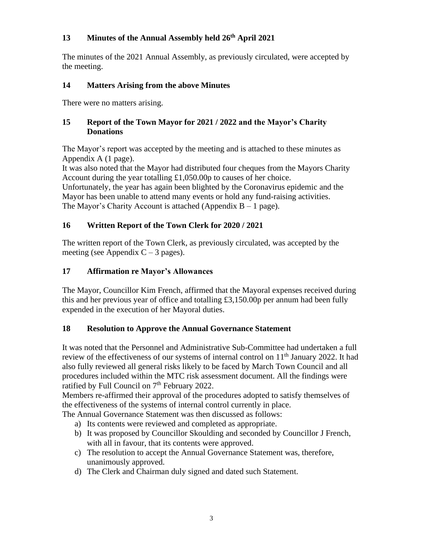# **13 Minutes of the Annual Assembly held 26 th April 2021**

The minutes of the 2021 Annual Assembly, as previously circulated, were accepted by the meeting.

# **14 Matters Arising from the above Minutes**

There were no matters arising.

### **15 Report of the Town Mayor for 2021 / 2022 and the Mayor's Charity Donations**

The Mayor's report was accepted by the meeting and is attached to these minutes as Appendix A (1 page).

It was also noted that the Mayor had distributed four cheques from the Mayors Charity Account during the year totalling £1,050.00p to causes of her choice.

Unfortunately, the year has again been blighted by the Coronavirus epidemic and the Mayor has been unable to attend many events or hold any fund-raising activities. The Mayor's Charity Account is attached (Appendix  $B - 1$  page).

# **16 Written Report of the Town Clerk for 2020 / 2021**

The written report of the Town Clerk, as previously circulated, was accepted by the meeting (see Appendix  $C - 3$  pages).

# **17 Affirmation re Mayor's Allowances**

The Mayor, Councillor Kim French, affirmed that the Mayoral expenses received during this and her previous year of office and totalling £3,150.00p per annum had been fully expended in the execution of her Mayoral duties.

### **18 Resolution to Approve the Annual Governance Statement**

It was noted that the Personnel and Administrative Sub-Committee had undertaken a full review of the effectiveness of our systems of internal control on 11<sup>th</sup> January 2022. It had also fully reviewed all general risks likely to be faced by March Town Council and all procedures included within the MTC risk assessment document. All the findings were ratified by Full Council on 7<sup>th</sup> February 2022.

Members re-affirmed their approval of the procedures adopted to satisfy themselves of the effectiveness of the systems of internal control currently in place.

The Annual Governance Statement was then discussed as follows:

- a) Its contents were reviewed and completed as appropriate.
- b) It was proposed by Councillor Skoulding and seconded by Councillor J French, with all in favour, that its contents were approved.
- c) The resolution to accept the Annual Governance Statement was, therefore, unanimously approved.
- d) The Clerk and Chairman duly signed and dated such Statement.